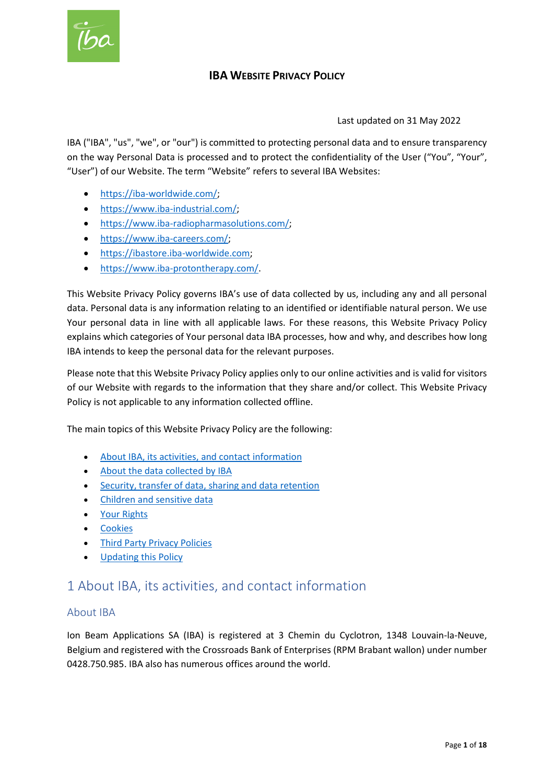

# **IBA WEBSITE PRIVACY POLICY**

# Last updated on 31 May 2022

IBA ("IBA", "us", "we", or "our") is committed to protecting personal data and to ensure transparency on the way Personal Data is processed and to protect the confidentiality of the User ("You", "Your", "User") of our Website. The term "Website" refers to several IBA Websites:

- [https://iba-worldwide.com/;](https://iba-worldwide.com/)
- [https://www.iba-industrial.com/;](https://www.iba-industrial.com/)
- [https://www.iba-radiopharmasolutions.com/;](https://www.iba-radiopharmasolutions.com/)
- [https://www.iba-careers.com/;](https://www.iba-careers.com/)
- [https://ibastore.iba-worldwide.com;](https://ibastore.iba-worldwide.com/)
- [https://www.iba-protontherapy.com/.](https://www.iba-protontherapy.com/)

This Website Privacy Policy governs IBA's use of data collected by us, including any and all personal data. Personal data is any information relating to an identified or identifiable natural person. We use Your personal data in line with all applicable laws. For these reasons, this Website Privacy Policy explains which categories of Your personal data IBA processes, how and why, and describes how long IBA intends to keep the personal data for the relevant purposes.

Please note that this Website Privacy Policy applies only to our online activities and is valid for visitors of our Website with regards to the information that they share and/or collect. This Website Privacy Policy is not applicable to any information collected offline.

The main topics of this Website Privacy Policy are the following:

- [About IBA, its activities, and contact information](#page-0-0)
- [About the data collected by IBA](#page-1-0)
- [Security, transfer of data, sharing and data retention](#page-14-0)
- [Children and sensitive data](#page-15-0)
- Your [Rights](#page-15-1)
- [Cookies](#page-16-0)
- [Third Party Privacy Policies](#page-16-1)
- [Updating this Policy](#page-17-0)

# <span id="page-0-0"></span>1 About IBA, its activities, and contact information

# About IBA

Ion Beam Applications SA (IBA) is registered at 3 Chemin du Cyclotron, 1348 Louvain-la-Neuve, Belgium and registered with the Crossroads Bank of Enterprises (RPM Brabant wallon) under number 0428.750.985. IBA also has numerous offices around the world.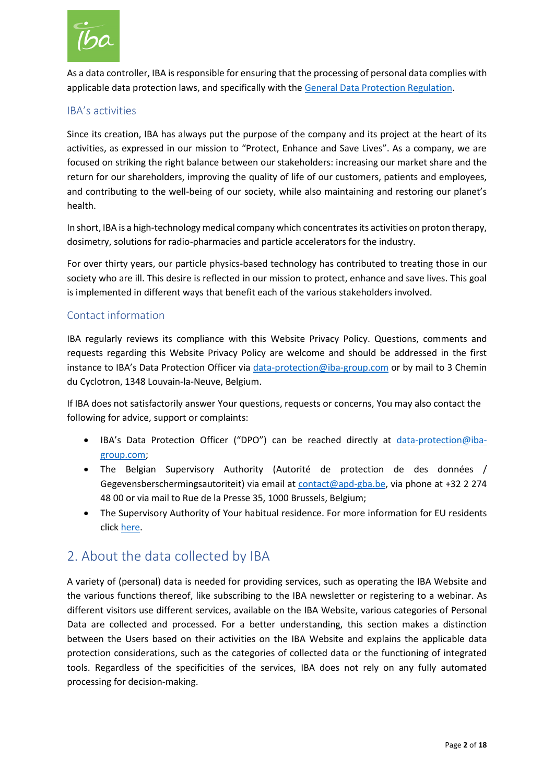

As a data controller, IBA is responsible for ensuring that the processing of personal data complies with applicable data protection laws, and specifically with the [General Data Protection Regulation.](https://eur-lex.europa.eu/eli/reg/2016/679/oj)

# IBA's activities

Since its creation, IBA has always put the purpose of the company and its project at the heart of its activities, as expressed in our mission to "Protect, Enhance and Save Lives". As a company, we are focused on striking the right balance between our stakeholders: increasing our market share and the return for our shareholders, improving the quality of life of our customers, patients and employees, and contributing to the well-being of our society, while also maintaining and restoring our planet's health.

In short, IBA is a high-technology medical company which concentrates its activities on proton therapy, dosimetry, solutions for radio-pharmacies and particle accelerators for the industry.

For over thirty years, our particle physics-based technology has contributed to treating those in our society who are ill. This desire is reflected in our mission to protect, enhance and save lives. This goal is implemented in different ways that benefit each of the various stakeholders involved.

# Contact information

IBA regularly reviews its compliance with this Website Privacy Policy. Questions, comments and requests regarding this Website Privacy Policy are welcome and should be addressed in the first instance to IBA's Data Protection Officer via [data-protection@iba-group.com](mailto:data-protection@iba-group.com) or by mail to 3 Chemin du Cyclotron, 1348 Louvain-la-Neuve, Belgium.

If IBA does not satisfactorily answer Your questions, requests or concerns, You may also contact the following for advice, support or complaints:

- IBA's Data Protection Officer ("DPO") can be reached directly at [data-protection@iba](mailto:data-protection@iba-group.com)[group.com;](mailto:data-protection@iba-group.com)
- The Belgian Supervisory Authority (Autorité de protection de des données / Gegevensberschermingsautoriteit) via email at [contact@apd-gba.be,](mailto:contact@apd-gba.be) via phone at +32 2 274 48 00 or via mail to Rue de la Presse 35, 1000 Brussels, Belgium;
- The Supervisory Authority of Your habitual residence. For more information for EU residents click [here.](https://ec.europa.eu/justice/article-29/structure/data-protection-authorities/index_en.htm)

# <span id="page-1-0"></span>2. About the data collected by IBA

A variety of (personal) data is needed for providing services, such as operating the IBA Website and the various functions thereof, like subscribing to the IBA newsletter or registering to a webinar. As different visitors use different services, available on the IBA Website, various categories of Personal Data are collected and processed. For a better understanding, this section makes a distinction between the Users based on their activities on the IBA Website and explains the applicable data protection considerations, such as the categories of collected data or the functioning of integrated tools. Regardless of the specificities of the services, IBA does not rely on any fully automated processing for decision-making.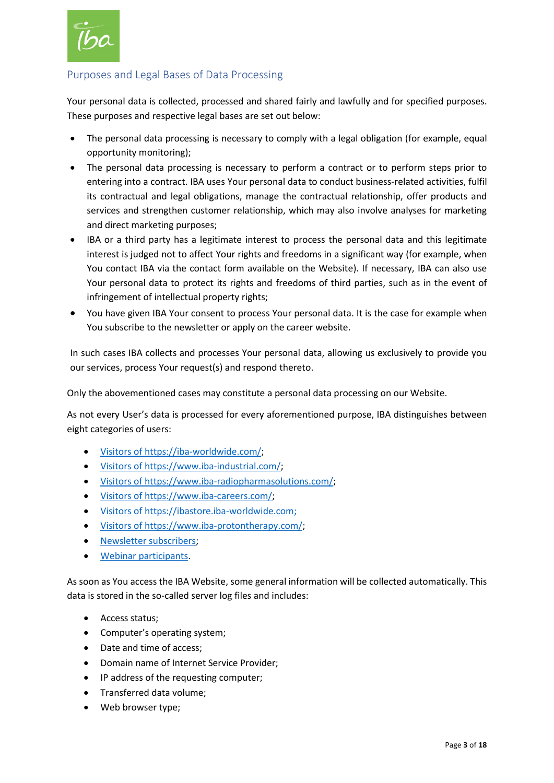

# Purposes and Legal Bases of Data Processing

Your personal data is collected, processed and shared fairly and lawfully and for specified purposes. These purposes and respective legal bases are set out below:

- The personal data processing is necessary to comply with a legal obligation (for example, equal opportunity monitoring);
- The personal data processing is necessary to perform a contract or to perform steps prior to entering into a contract. IBA uses Your personal data to conduct business-related activities, fulfil its contractual and legal obligations, manage the contractual relationship, offer products and services and strengthen customer relationship, which may also involve analyses for marketing and direct marketing purposes;
- IBA or a third party has a legitimate interest to process the personal data and this legitimate interest is judged not to affect Your rights and freedoms in a significant way (for example, when You contact IBA via the contact form available on the Website). If necessary, IBA can also use Your personal data to protect its rights and freedoms of third parties, such as in the event of infringement of intellectual property rights;
- You have given IBA Your consent to process Your personal data. It is the case for example when You subscribe to the newsletter or apply on the career website.

In such cases IBA collects and processes Your personal data, allowing us exclusively to provide you our services, process Your request(s) and respond thereto.

Only the abovementioned cases may constitute a personal data processing on our Website.

As not every User's data is processed for every aforementioned purpose, IBA distinguishes between eight categories of users:

- [Visitors of https://iba-worldwide.com/;](#page-3-0)
- [Visitors of https://www.iba-industrial.com/;](#page-5-0)
- [Visitors of https://www.iba-radiopharmasolutions.com/;](#page-7-0)
- [Visitors of https://www.iba-careers.com/;](#page-9-0)
- [Visitors of https://ibastore.iba-worldwide.com;](#page-10-0)
- [Visitors of https://www.iba-protontherapy.com/;](#page-11-0)
- [Newsletter subscribers;](#page-13-0)
- [Webinar participants.](#page-13-1)

As soon as You access the IBA Website, some general information will be collected automatically. This data is stored in the so-called server log files and includes:

- Access status;
- Computer's operating system;
- Date and time of access;
- Domain name of Internet Service Provider;
- IP address of the requesting computer;
- Transferred data volume;
- Web browser type;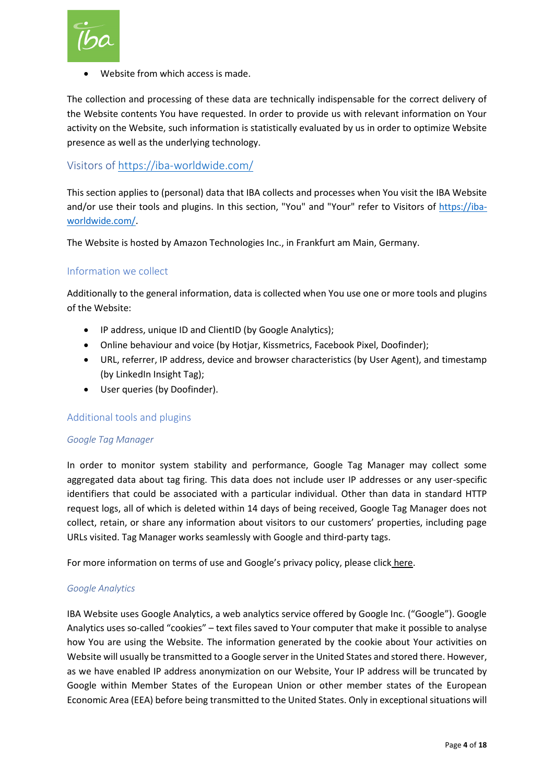

Website from which access is made.

The collection and processing of these data are technically indispensable for the correct delivery of the Website contents You have requested. In order to provide us with relevant information on Your activity on the Website, such information is statistically evaluated by us in order to optimize Website presence as well as the underlying technology.

# <span id="page-3-0"></span>Visitors of<https://iba-worldwide.com/>

This section applies to (personal) data that IBA collects and processes when You visit the IBA Website and/or use their tools and plugins. In this section, "You" and "Your" refer to Visitors of [https://iba](https://iba-worldwide.com/)[worldwide.com/.](https://iba-worldwide.com/)

The Website is hosted by Amazon Technologies Inc., in Frankfurt am Main, Germany.

# Information we collect

Additionally to the general information, data is collected when You use one or more tools and plugins of the Website:

- IP address, unique ID and ClientID (by Google Analytics);
- Online behaviour and voice (by Hotjar, Kissmetrics, Facebook Pixel, Doofinder);
- URL, referrer, IP address, device and browser characteristics (by User Agent), and timestamp (by LinkedIn Insight Tag);
- User queries (by Doofinder).

## Additional tools and plugins

## *Google Tag Manager*

In order to monitor system stability and performance, Google Tag Manager may collect some aggregated data about tag firing. This data does not include user IP addresses or any user-specific identifiers that could be associated with a particular individual. Other than data in standard HTTP request logs, all of which is deleted within 14 days of being received, Google Tag Manager does not collect, retain, or share any information about visitors to our customers' properties, including page URLs visited. Tag Manager works seamlessly with Google and third-party tags.

For more information on terms of use and Google's privacy policy, please click [here.](https://policies.google.com/terms)

## *Google Analytics*

IBA Website uses Google Analytics, a web analytics service offered by Google Inc. ("Google"). Google Analytics uses so-called "cookies" – text files saved to Your computer that make it possible to analyse how You are using the Website. The information generated by the cookie about Your activities on Website will usually be transmitted to a Google server in the United States and stored there. However, as we have enabled IP address anonymization on our Website, Your IP address will be truncated by Google within Member States of the European Union or other member states of the European Economic Area (EEA) before being transmitted to the United States. Only in exceptional situations will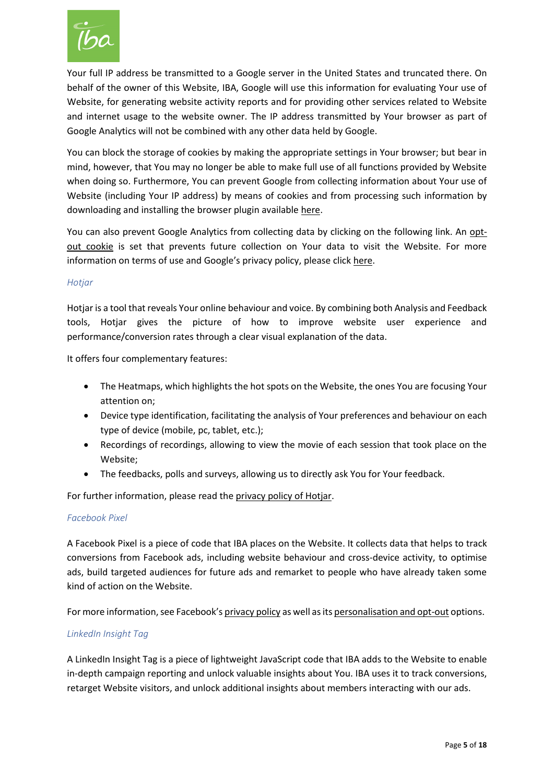

Your full IP address be transmitted to a Google server in the United States and truncated there. On behalf of the owner of this Website, IBA, Google will use this information for evaluating Your use of Website, for generating website activity reports and for providing other services related to Website and internet usage to the website owner. The IP address transmitted by Your browser as part of Google Analytics will not be combined with any other data held by Google.

You can block the storage of cookies by making the appropriate settings in Your browser; but bear in mind, however, that You may no longer be able to make full use of all functions provided by Website when doing so. Furthermore, You can prevent Google from collecting information about Your use of Website (including Your IP address) by means of cookies and from processing such information by downloading and installing the browser plugin available [here.](https://tools.google.com/dlpage/gaoptout?hl=en)

You can also prevent Google Analytics from collecting data by clicking on the following link. An [opt](https://tools.google.com/dlpage/gaoptout/eula.html?hl=en)[out cookie](https://tools.google.com/dlpage/gaoptout/eula.html?hl=en) is set that prevents future collection on Your data to visit the Website. For more information on terms of use and Google's privacy policy, please clic[k here.](https://policies.google.com/terms)

## *Hotjar*

Hotjar is a tool that reveals Your online behaviour and voice. By combining both Analysis and Feedback tools, Hotjar gives the picture of how to improve website user experience and performance/conversion rates through a clear visual explanation of the data.

It offers four complementary features:

- The Heatmaps, which highlights the hot spots on the Website, the ones You are focusing Your attention on;
- Device type identification, facilitating the analysis of Your preferences and behaviour on each type of device (mobile, pc, tablet, etc.);
- Recordings of recordings, allowing to view the movie of each session that took place on the Website;
- The feedbacks, polls and surveys, allowing us to directly ask You for Your feedback.

For further information, please read th[e privacy policy of Hotjar.](https://www.hotjar.com/legal/policies/privacy/#enduserenglish)

## *Facebook Pixel*

A Facebook Pixel is a piece of code that IBA places on the Website. It collects data that helps to track conversions from Facebook ads, including website behaviour and cross-device activity, to optimise ads, build targeted audiences for future ads and remarket to people who have already taken some kind of action on the Website.

For more information, see Facebook's [privacy policy](https://www.facebook.com/about/privacy/your-info#public-info) as well as its [personalisation and opt-out](https://www.facebook.com/settings?tab=privacy) options.

## *LinkedIn Insight Tag*

A LinkedIn Insight Tag is a piece of lightweight JavaScript code that IBA adds to the Website to enable in-depth campaign reporting and unlock valuable insights about You. IBA uses it to track conversions, retarget Website visitors, and unlock additional insights about members interacting with our ads.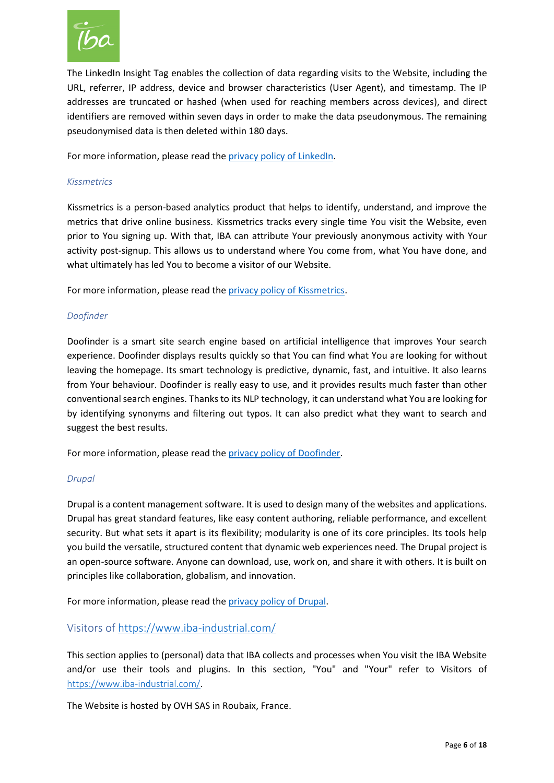

The LinkedIn Insight Tag enables the collection of data regarding visits to the Website, including the URL, referrer, IP address, device and browser characteristics (User Agent), and timestamp. The IP addresses are truncated or hashed (when used for reaching members across devices), and direct identifiers are removed within seven days in order to make the data pseudonymous. The remaining pseudonymised data is then deleted within 180 days.

For more information, please read th[e privacy policy of LinkedIn.](https://www.linkedin.com/legal/privacy-policy)

## *Kissmetrics*

Kissmetrics is a person-based analytics product that helps to identify, understand, and improve the metrics that drive online business. Kissmetrics tracks every single time You visit the Website, even prior to You signing up. With that, IBA can attribute Your previously anonymous activity with Your activity post-signup. This allows us to understand where You come from, what You have done, and what ultimately has led You to become a visitor of our Website.

For more information, please read th[e privacy policy of Kissmetrics.](https://www.kissmetrics.io/privacy/)

# *Doofinder*

Doofinder is a smart site search engine based on artificial intelligence that improves Your search experience. Doofinder displays results quickly so that You can find what You are looking for without leaving the homepage. Its smart technology is predictive, dynamic, fast, and intuitive. It also learns from Your behaviour. Doofinder is really easy to use, and it provides results much faster than other conventional search engines. Thanks to its NLP technology, it can understand what You are looking for by identifying synonyms and filtering out typos. It can also predict what they want to search and suggest the best results.

For more information, please read th[e privacy policy of Doofinder.](https://www.doofinder.com/en/privacy-policy)

## *Drupal*

Drupal is a content management software. It is used to design many of the websites and applications. Drupal has great standard features, like easy content authoring, reliable performance, and excellent security. But what sets it apart is its flexibility; modularity is one of its core principles. Its tools help you build the versatile, structured content that dynamic web experiences need. The Drupal project is an open-source software. Anyone can download, use, work on, and share it with others. It is built on principles like collaboration, globalism, and innovation.

For more information, please read th[e privacy policy of Drupal.](https://www.drupal.org/privacy)

<span id="page-5-0"></span>Visitors of<https://www.iba-industrial.com/>

This section applies to (personal) data that IBA collects and processes when You visit the IBA Website and/or use their tools and plugins. In this section, "You" and "Your" refer to Visitors of <https://www.iba-industrial.com/>.

The Website is hosted by OVH SAS in Roubaix, France.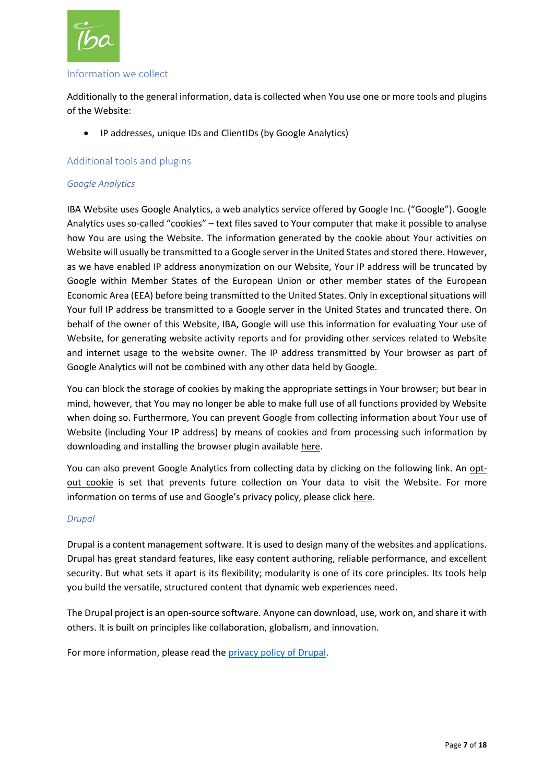

# Information we collect

Additionally to the general information, data is collected when You use one or more tools and plugins of the Website:

• IP addresses, unique IDs and ClientIDs (by Google Analytics)

# Additional tools and plugins

## *Google Analytics*

IBA Website uses Google Analytics, a web analytics service offered by Google Inc. ("Google"). Google Analytics uses so-called "cookies" – text files saved to Your computer that make it possible to analyse how You are using the Website. The information generated by the cookie about Your activities on Website will usually be transmitted to a Google server in the United States and stored there. However, as we have enabled IP address anonymization on our Website, Your IP address will be truncated by Google within Member States of the European Union or other member states of the European Economic Area (EEA) before being transmitted to the United States. Only in exceptional situations will Your full IP address be transmitted to a Google server in the United States and truncated there. On behalf of the owner of this Website, IBA, Google will use this information for evaluating Your use of Website, for generating website activity reports and for providing other services related to Website and internet usage to the website owner. The IP address transmitted by Your browser as part of Google Analytics will not be combined with any other data held by Google.

You can block the storage of cookies by making the appropriate settings in Your browser; but bear in mind, however, that You may no longer be able to make full use of all functions provided by Website when doing so. Furthermore, You can prevent Google from collecting information about Your use of Website (including Your IP address) by means of cookies and from processing such information by downloading and installing the browser plugin available [here.](https://tools.google.com/dlpage/gaoptout?hl=en)

You can also prevent Google Analytics from collecting data by clicking on the following link. An [opt](https://tools.google.com/dlpage/gaoptout/eula.html?hl=en)[out cookie](https://tools.google.com/dlpage/gaoptout/eula.html?hl=en) is set that prevents future collection on Your data to visit the Website. For more information on terms of use and Google's privacy policy, please click [here.](https://policies.google.com/terms)

## *Drupal*

Drupal is a content management software. It is used to design many of the websites and applications. Drupal has great standard features, like easy content authoring, reliable performance, and excellent security. But what sets it apart is its flexibility; modularity is one of its core principles. Its tools help you build the versatile, structured content that dynamic web experiences need.

The Drupal project is an open-source software. Anyone can download, use, work on, and share it with others. It is built on principles like collaboration, globalism, and innovation.

For more information, please read th[e privacy policy of Drupal.](https://www.drupal.org/privacy)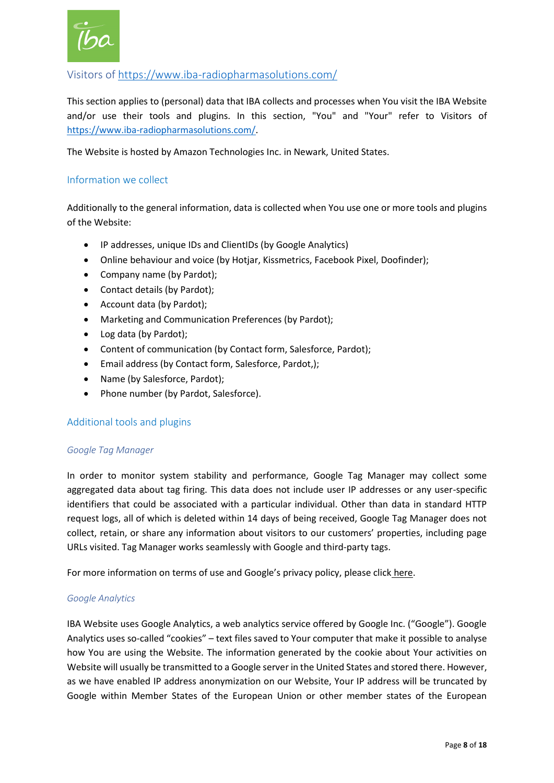

# <span id="page-7-0"></span>Visitors of<https://www.iba-radiopharmasolutions.com/>

This section applies to (personal) data that IBA collects and processes when You visit the IBA Website and/or use their tools and plugins. In this section, "You" and "Your" refer to Visitors of [https://www.iba-radiopharmasolutions.com/.](https://www.iba-radiopharmasolutions.com/)

The Website is hosted by Amazon Technologies Inc. in Newark, United States.

# Information we collect

Additionally to the general information, data is collected when You use one or more tools and plugins of the Website:

- IP addresses, unique IDs and ClientIDs (by Google Analytics)
- Online behaviour and voice (by Hotjar, Kissmetrics, Facebook Pixel, Doofinder);
- Company name (by Pardot);
- Contact details (by Pardot);
- Account data (by Pardot);
- Marketing and Communication Preferences (by Pardot);
- Log data (by Pardot);
- Content of communication (by Contact form, Salesforce, Pardot);
- Email address (by Contact form, Salesforce, Pardot,);
- Name (by Salesforce, Pardot);
- Phone number (by Pardot, Salesforce).

## Additional tools and plugins

## *Google Tag Manager*

In order to monitor system stability and performance, Google Tag Manager may collect some aggregated data about tag firing. This data does not include user IP addresses or any user-specific identifiers that could be associated with a particular individual. Other than data in standard HTTP request logs, all of which is deleted within 14 days of being received, Google Tag Manager does not collect, retain, or share any information about visitors to our customers' properties, including page URLs visited. Tag Manager works seamlessly with Google and third-party tags.

For more information on terms of use and Google's privacy policy, please click [here.](https://policies.google.com/terms)

## *Google Analytics*

IBA Website uses Google Analytics, a web analytics service offered by Google Inc. ("Google"). Google Analytics uses so-called "cookies" – text files saved to Your computer that make it possible to analyse how You are using the Website. The information generated by the cookie about Your activities on Website will usually be transmitted to a Google server in the United States and stored there. However, as we have enabled IP address anonymization on our Website, Your IP address will be truncated by Google within Member States of the European Union or other member states of the European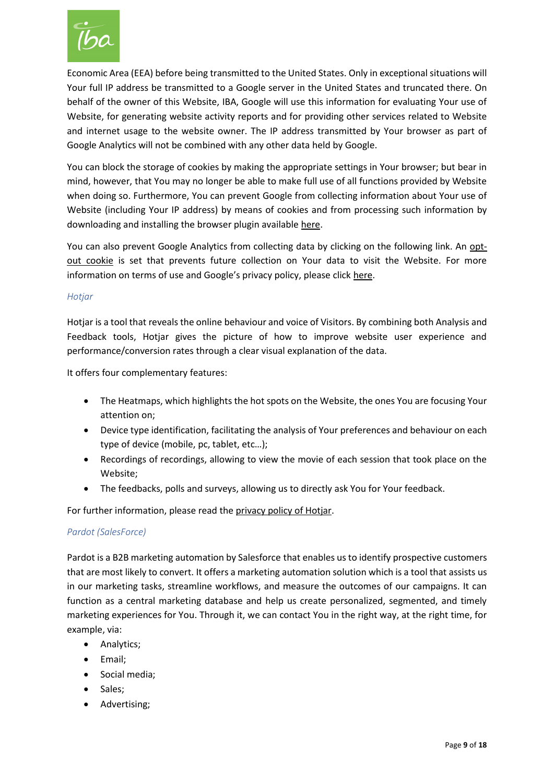

Economic Area (EEA) before being transmitted to the United States. Only in exceptional situations will Your full IP address be transmitted to a Google server in the United States and truncated there. On behalf of the owner of this Website, IBA, Google will use this information for evaluating Your use of Website, for generating website activity reports and for providing other services related to Website and internet usage to the website owner. The IP address transmitted by Your browser as part of Google Analytics will not be combined with any other data held by Google.

You can block the storage of cookies by making the appropriate settings in Your browser; but bear in mind, however, that You may no longer be able to make full use of all functions provided by Website when doing so. Furthermore, You can prevent Google from collecting information about Your use of Website (including Your IP address) by means of cookies and from processing such information by downloading and installing the browser plugin available [here.](https://tools.google.com/dlpage/gaoptout?hl=en)

You can also prevent Google Analytics from collecting data by clicking on the following link. An [opt](https://tools.google.com/dlpage/gaoptout/eula.html?hl=en)[out cookie](https://tools.google.com/dlpage/gaoptout/eula.html?hl=en) is set that prevents future collection on Your data to visit the Website. For more information on terms of use and Google's privacy policy, please click [here.](https://policies.google.com/terms)

# *Hotjar*

Hotjar is a tool that reveals the online behaviour and voice of Visitors. By combining both Analysis and Feedback tools, Hotjar gives the picture of how to improve website user experience and performance/conversion rates through a clear visual explanation of the data.

It offers four complementary features:

- The Heatmaps, which highlights the hot spots on the Website, the ones You are focusing Your attention on;
- Device type identification, facilitating the analysis of Your preferences and behaviour on each type of device (mobile, pc, tablet, etc…);
- Recordings of recordings, allowing to view the movie of each session that took place on the Website;
- The feedbacks, polls and surveys, allowing us to directly ask You for Your feedback.

For further information, please read th[e privacy policy of Hotjar.](https://www.hotjar.com/legal/policies/privacy/#enduserenglish)

## *Pardot (SalesForce)*

Pardot is a B2B marketing automation by Salesforce that enables us to identify prospective customers that are most likely to convert. It offers a marketing automation solution which is a tool that assists us in our marketing tasks, streamline workflows, and measure the outcomes of our campaigns. It can function as a central marketing database and help us create personalized, segmented, and timely marketing experiences for You. Through it, we can contact You in the right way, at the right time, for example, via:

- Analytics;
- Email;
- Social media;
- Sales;
- Advertising;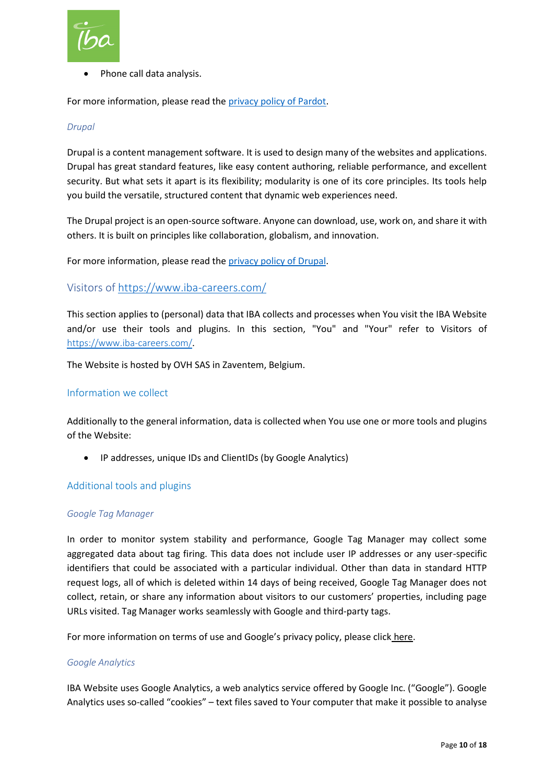

• Phone call data analysis.

For more information, please read th[e privacy policy of Pardot.](https://www.salesforce.com/company/privacy/)

# *Drupal*

Drupal is a content management software. It is used to design many of the websites and applications. Drupal has great standard features, like easy content authoring, reliable performance, and excellent security. But what sets it apart is its flexibility; modularity is one of its core principles. Its tools help you build the versatile, structured content that dynamic web experiences need.

The Drupal project is an open-source software. Anyone can download, use, work on, and share it with others. It is built on principles like collaboration, globalism, and innovation.

For more information, please read th[e privacy policy of Drupal.](https://www.drupal.org/privacy)

# <span id="page-9-0"></span>Visitors of<https://www.iba-careers.com/>

This section applies to (personal) data that IBA collects and processes when You visit the IBA Website and/or use their tools and plugins. In this section, "You" and "Your" refer to Visitors of <https://www.iba-careers.com/>.

The Website is hosted by OVH SAS in Zaventem, Belgium.

## Information we collect

Additionally to the general information, data is collected when You use one or more tools and plugins of the Website:

• IP addresses, unique IDs and ClientIDs (by Google Analytics)

## Additional tools and plugins

## *Google Tag Manager*

In order to monitor system stability and performance, Google Tag Manager may collect some aggregated data about tag firing. This data does not include user IP addresses or any user-specific identifiers that could be associated with a particular individual. Other than data in standard HTTP request logs, all of which is deleted within 14 days of being received, Google Tag Manager does not collect, retain, or share any information about visitors to our customers' properties, including page URLs visited. Tag Manager works seamlessly with Google and third-party tags.

For more information on terms of use and Google's privacy policy, please click [here.](https://policies.google.com/terms)

#### *Google Analytics*

IBA Website uses Google Analytics, a web analytics service offered by Google Inc. ("Google"). Google Analytics uses so-called "cookies" – text files saved to Your computer that make it possible to analyse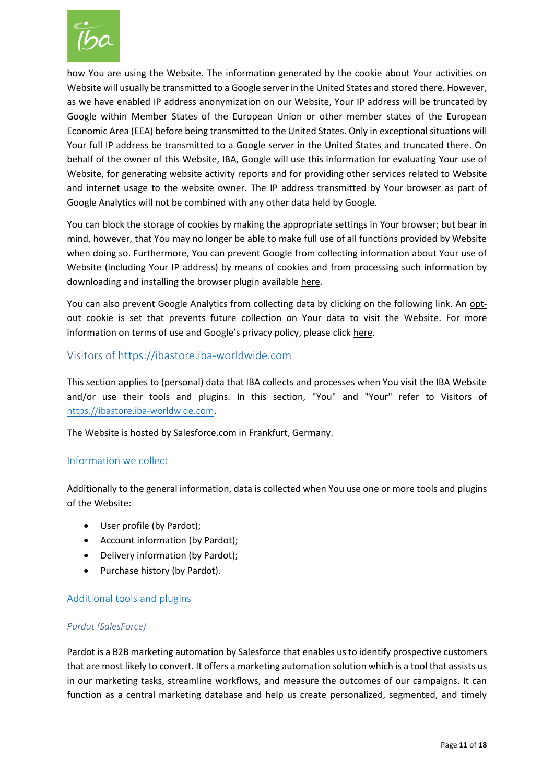

how You are using the Website. The information generated by the cookie about Your activities on Website will usually be transmitted to a Google server in the United States and stored there. However, as we have enabled IP address anonymization on our Website, Your IP address will be truncated by Google within Member States of the European Union or other member states of the European Economic Area (EEA) before being transmitted to the United States. Only in exceptional situations will Your full IP address be transmitted to a Google server in the United States and truncated there. On behalf of the owner of this Website, IBA, Google will use this information for evaluating Your use of Website, for generating website activity reports and for providing other services related to Website and internet usage to the website owner. The IP address transmitted by Your browser as part of Google Analytics will not be combined with any other data held by Google.

You can block the storage of cookies by making the appropriate settings in Your browser; but bear in mind, however, that You may no longer be able to make full use of all functions provided by Website when doing so. Furthermore, You can prevent Google from collecting information about Your use of Website (including Your IP address) by means of cookies and from processing such information by downloading and installing the browser plugin available [here.](https://tools.google.com/dlpage/gaoptout?hl=en)

You can also prevent Google Analytics from collecting data by clicking on the following link. An [opt](https://tools.google.com/dlpage/gaoptout/eula.html?hl=en)[out cookie](https://tools.google.com/dlpage/gaoptout/eula.html?hl=en) is set that prevents future collection on Your data to visit the Website. For more information on terms of use and Google's privacy policy, please click [here.](https://policies.google.com/terms)

# <span id="page-10-0"></span>Visitors of [https://ibastore.iba-worldwide.com](https://ibastore.iba-worldwide.com/)

This section applies to (personal) data that IBA collects and processes when You visit the IBA Website and/or use their tools and plugins. In this section, "You" and "Your" refer to Visitors of [https://ibastore.iba-worldwide.com](https://ibastore.iba-worldwide.com/).

The Website is hosted by Salesforce.com in Frankfurt, Germany.

## Information we collect

Additionally to the general information, data is collected when You use one or more tools and plugins of the Website:

- User profile (by Pardot);
- Account information (by Pardot);
- Delivery information (by Pardot);
- Purchase history (by Pardot).

## Additional tools and plugins

## *Pardot (SalesForce)*

Pardot is a B2B marketing automation by Salesforce that enables us to identify prospective customers that are most likely to convert. It offers a marketing automation solution which is a tool that assists us in our marketing tasks, streamline workflows, and measure the outcomes of our campaigns. It can function as a central marketing database and help us create personalized, segmented, and timely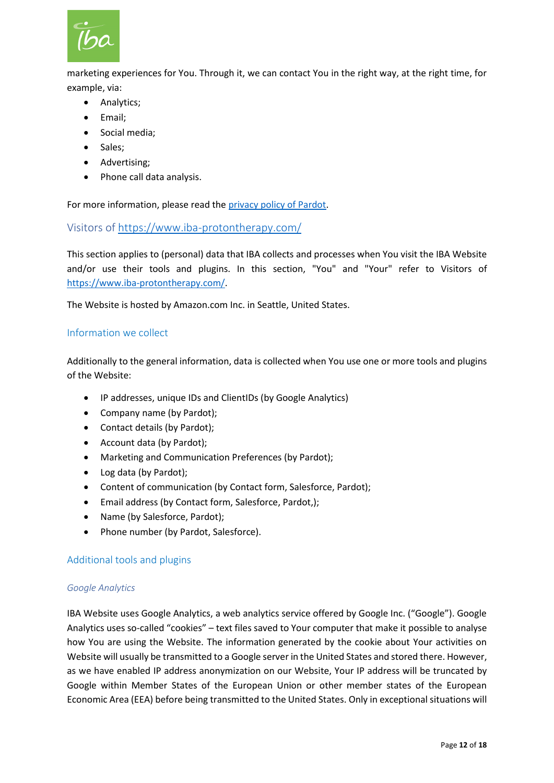

marketing experiences for You. Through it, we can contact You in the right way, at the right time, for example, via:

- Analytics;
- Email;
- Social media;
- Sales;
- Advertising;
- Phone call data analysis.

For more information, please read th[e privacy policy of Pardot.](https://www.salesforce.com/company/privacy/)

## <span id="page-11-0"></span>Visitors of<https://www.iba-protontherapy.com/>

This section applies to (personal) data that IBA collects and processes when You visit the IBA Website and/or use their tools and plugins. In this section, "You" and "Your" refer to Visitors of [https://www.iba-protontherapy.com/.](https://www.iba-protontherapy.com/)

The Website is hosted by Amazon.com Inc. in Seattle, United States.

## Information we collect

Additionally to the general information, data is collected when You use one or more tools and plugins of the Website:

- IP addresses, unique IDs and ClientIDs (by Google Analytics)
- Company name (by Pardot);
- Contact details (by Pardot);
- Account data (by Pardot);
- Marketing and Communication Preferences (by Pardot);
- Log data (by Pardot);
- Content of communication (by Contact form, Salesforce, Pardot);
- Email address (by Contact form, Salesforce, Pardot,);
- Name (by Salesforce, Pardot);
- Phone number (by Pardot, Salesforce).

## Additional tools and plugins

#### *Google Analytics*

IBA Website uses Google Analytics, a web analytics service offered by Google Inc. ("Google"). Google Analytics uses so-called "cookies" – text files saved to Your computer that make it possible to analyse how You are using the Website. The information generated by the cookie about Your activities on Website will usually be transmitted to a Google server in the United States and stored there. However, as we have enabled IP address anonymization on our Website, Your IP address will be truncated by Google within Member States of the European Union or other member states of the European Economic Area (EEA) before being transmitted to the United States. Only in exceptional situations will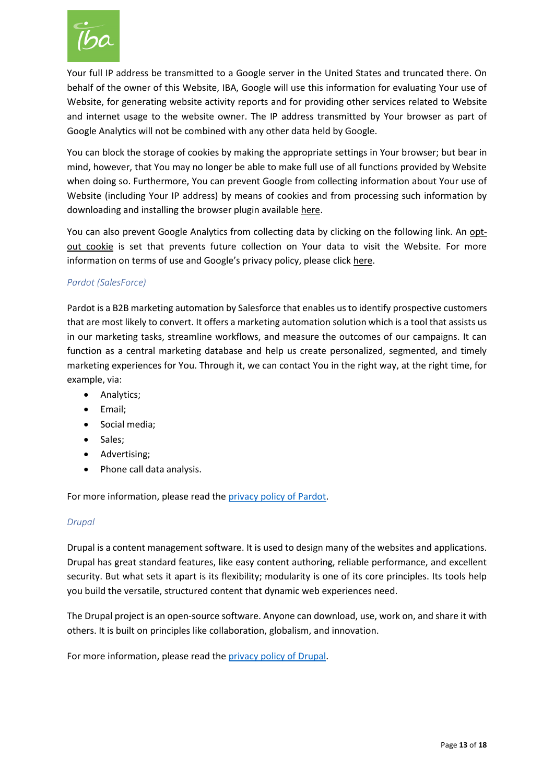

Your full IP address be transmitted to a Google server in the United States and truncated there. On behalf of the owner of this Website, IBA, Google will use this information for evaluating Your use of Website, for generating website activity reports and for providing other services related to Website and internet usage to the website owner. The IP address transmitted by Your browser as part of Google Analytics will not be combined with any other data held by Google.

You can block the storage of cookies by making the appropriate settings in Your browser; but bear in mind, however, that You may no longer be able to make full use of all functions provided by Website when doing so. Furthermore, You can prevent Google from collecting information about Your use of Website (including Your IP address) by means of cookies and from processing such information by downloading and installing the browser plugin available [here.](https://tools.google.com/dlpage/gaoptout?hl=en)

You can also prevent Google Analytics from collecting data by clicking on the following link. An [opt](https://tools.google.com/dlpage/gaoptout/eula.html?hl=en)[out cookie](https://tools.google.com/dlpage/gaoptout/eula.html?hl=en) is set that prevents future collection on Your data to visit the Website. For more information on terms of use and Google's privacy policy, please clic[k here.](https://policies.google.com/terms)

# *Pardot (SalesForce)*

Pardot is a B2B marketing automation by Salesforce that enables us to identify prospective customers that are most likely to convert. It offers a marketing automation solution which is a tool that assists us in our marketing tasks, streamline workflows, and measure the outcomes of our campaigns. It can function as a central marketing database and help us create personalized, segmented, and timely marketing experiences for You. Through it, we can contact You in the right way, at the right time, for example, via:

- Analytics;
- Email;
- Social media;
- Sales;
- Advertising;
- Phone call data analysis.

For more information, please read th[e privacy policy of Pardot.](https://www.salesforce.com/company/privacy/)

## *Drupal*

Drupal is a content management software. It is used to design many of the websites and applications. Drupal has great standard features, like easy content authoring, reliable performance, and excellent security. But what sets it apart is its flexibility; modularity is one of its core principles. Its tools help you build the versatile, structured content that dynamic web experiences need.

The Drupal project is an open-source software. Anyone can download, use, work on, and share it with others. It is built on principles like collaboration, globalism, and innovation.

For more information, please read th[e privacy policy of Drupal.](https://www.drupal.org/privacy)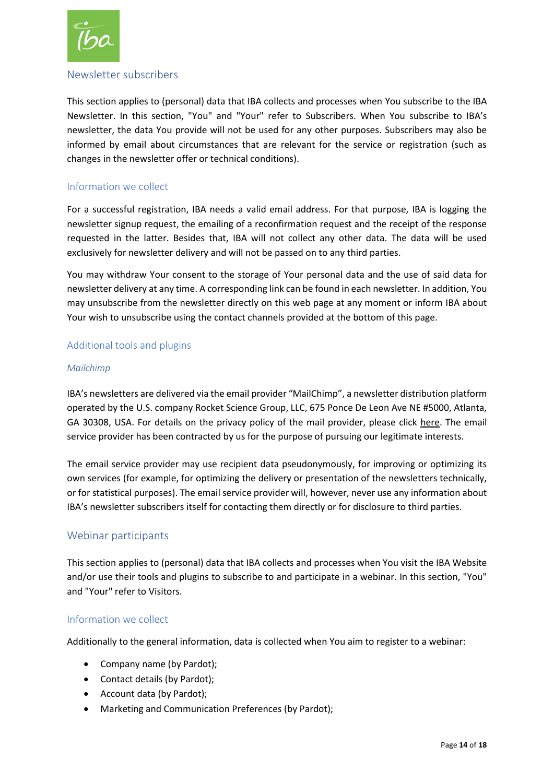

# <span id="page-13-0"></span>Newsletter subscribers

This section applies to (personal) data that IBA collects and processes when You subscribe to the IBA Newsletter. In this section, "You" and "Your" refer to Subscribers. When You subscribe to IBA's newsletter, the data You provide will not be used for any other purposes. Subscribers may also be informed by email about circumstances that are relevant for the service or registration (such as changes in the newsletter offer or technical conditions).

# Information we collect

For a successful registration, IBA needs a valid email address. For that purpose, IBA is logging the newsletter signup request, the emailing of a reconfirmation request and the receipt of the response requested in the latter. Besides that, IBA will not collect any other data. The data will be used exclusively for newsletter delivery and will not be passed on to any third parties.

You may withdraw Your consent to the storage of Your personal data and the use of said data for newsletter delivery at any time. A corresponding link can be found in each newsletter. In addition, You may unsubscribe from the newsletter directly on this web page at any moment or inform IBA about Your wish to unsubscribe using the contact channels provided at the bottom of this page.

# Additional tools and plugins

## *Mailchimp*

IBA's newsletters are delivered via the email provider "MailChimp", a newsletter distribution platform operated by the U.S. company Rocket Science Group, LLC, 675 Ponce De Leon Ave NE #5000, Atlanta, GA 30308, USA. For details on the privacy policy of the mail provider, please click [here.](https://mailchimp.com/legal/privacy/) The email service provider has been contracted by us for the purpose of pursuing our legitimate interests.

The email service provider may use recipient data pseudonymously, for improving or optimizing its own services (for example, for optimizing the delivery or presentation of the newsletters technically, or for statistical purposes). The email service provider will, however, never use any information about IBA's newsletter subscribers itself for contacting them directly or for disclosure to third parties.

# <span id="page-13-1"></span>Webinar participants

This section applies to (personal) data that IBA collects and processes when You visit the IBA Website and/or use their tools and plugins to subscribe to and participate in a webinar. In this section, "You" and "Your" refer to Visitors.

# Information we collect

Additionally to the general information, data is collected when You aim to register to a webinar:

- Company name (by Pardot);
- Contact details (by Pardot);
- Account data (by Pardot);
- Marketing and Communication Preferences (by Pardot);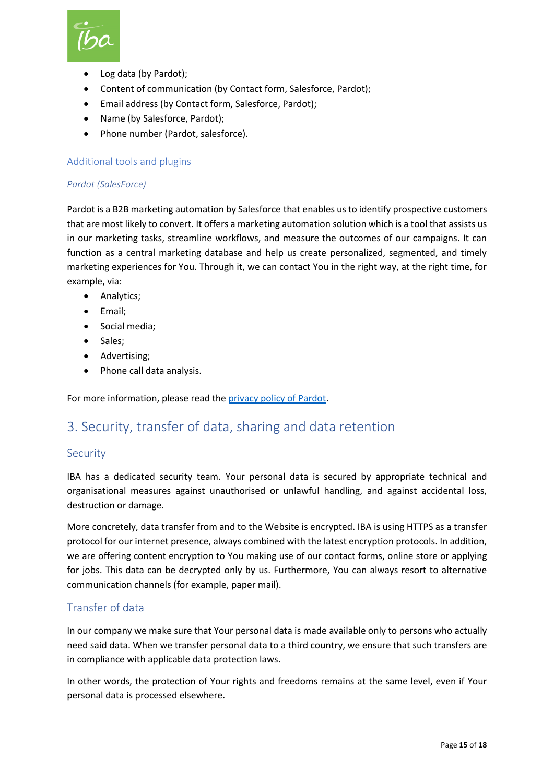

- Log data (by Pardot);
- Content of communication (by Contact form, Salesforce, Pardot);
- Email address (by Contact form, Salesforce, Pardot);
- Name (by Salesforce, Pardot);
- Phone number (Pardot, salesforce).

# Additional tools and plugins

## *Pardot (SalesForce)*

Pardot is a B2B marketing automation by Salesforce that enables us to identify prospective customers that are most likely to convert. It offers a marketing automation solution which is a tool that assists us in our marketing tasks, streamline workflows, and measure the outcomes of our campaigns. It can function as a central marketing database and help us create personalized, segmented, and timely marketing experiences for You. Through it, we can contact You in the right way, at the right time, for example, via:

- Analytics;
- Email;
- Social media;
- Sales;
- Advertising;
- Phone call data analysis.

For more information, please read th[e privacy policy of Pardot.](https://www.salesforce.com/company/privacy/)

# <span id="page-14-0"></span>3. Security, transfer of data, sharing and data retention

# Security

IBA has a dedicated security team. Your personal data is secured by appropriate technical and organisational measures against unauthorised or unlawful handling, and against accidental loss, destruction or damage.

More concretely, data transfer from and to the Website is encrypted. IBA is using HTTPS as a transfer protocol for our internet presence, always combined with the latest encryption protocols. In addition, we are offering content encryption to You making use of our contact forms, online store or applying for jobs. This data can be decrypted only by us. Furthermore, You can always resort to alternative communication channels (for example, paper mail).

# Transfer of data

In our company we make sure that Your personal data is made available only to persons who actually need said data. When we transfer personal data to a third country, we ensure that such transfers are in compliance with applicable data protection laws.

In other words, the protection of Your rights and freedoms remains at the same level, even if Your personal data is processed elsewhere.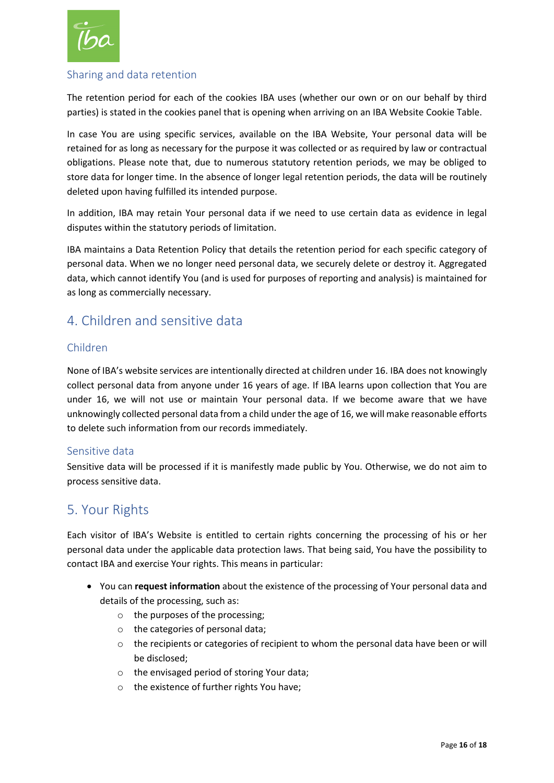

# Sharing and data retention

The retention period for each of the cookies IBA uses (whether our own or on our behalf by third parties) is stated in the cookies panel that is opening when arriving on an IBA Website Cookie Table.

In case You are using specific services, available on the IBA Website, Your personal data will be retained for as long as necessary for the purpose it was collected or as required by law or contractual obligations. Please note that, due to numerous statutory retention periods, we may be obliged to store data for longer time. In the absence of longer legal retention periods, the data will be routinely deleted upon having fulfilled its intended purpose.

In addition, IBA may retain Your personal data if we need to use certain data as evidence in legal disputes within the statutory periods of limitation.

IBA maintains a Data Retention Policy that details the retention period for each specific category of personal data. When we no longer need personal data, we securely delete or destroy it. Aggregated data, which cannot identify You (and is used for purposes of reporting and analysis) is maintained for as long as commercially necessary.

# <span id="page-15-0"></span>4. Children and sensitive data

# Children

None of IBA's website services are intentionally directed at children under 16. IBA does not knowingly collect personal data from anyone under 16 years of age. If IBA learns upon collection that You are under 16, we will not use or maintain Your personal data. If we become aware that we have unknowingly collected personal data from a child under the age of 16, we will make reasonable efforts to delete such information from our records immediately.

# Sensitive data

Sensitive data will be processed if it is manifestly made public by You. Otherwise, we do not aim to process sensitive data.

# <span id="page-15-1"></span>5. Your Rights

Each visitor of IBA's Website is entitled to certain rights concerning the processing of his or her personal data under the applicable data protection laws. That being said, You have the possibility to contact IBA and exercise Your rights. This means in particular:

- You can **request information** about the existence of the processing of Your personal data and details of the processing, such as:
	- o the purposes of the processing;
	- o the categories of personal data;
	- o the recipients or categories of recipient to whom the personal data have been or will be disclosed;
	- o the envisaged period of storing Your data;
	- o the existence of further rights You have;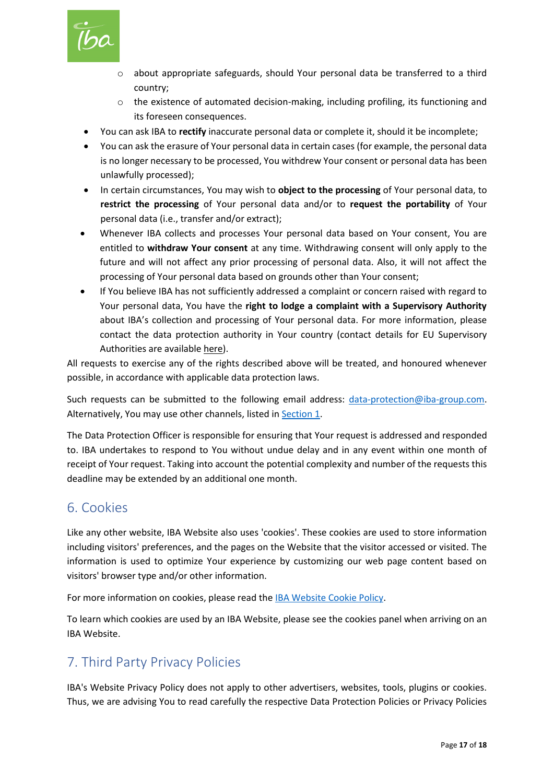

- o about appropriate safeguards, should Your personal data be transferred to a third country;
- $\circ$  the existence of automated decision-making, including profiling, its functioning and its foreseen consequences.
- You can ask IBA to **rectify** inaccurate personal data or complete it, should it be incomplete;
- You can ask the erasure of Your personal data in certain cases (for example, the personal data is no longer necessary to be processed, You withdrew Your consent or personal data has been unlawfully processed);
- In certain circumstances, You may wish to **object to the processing** of Your personal data, to **restrict the processing** of Your personal data and/or to **request the portability** of Your personal data (i.e., transfer and/or extract);
- Whenever IBA collects and processes Your personal data based on Your consent, You are entitled to **withdraw Your consent** at any time. Withdrawing consent will only apply to the future and will not affect any prior processing of personal data. Also, it will not affect the processing of Your personal data based on grounds other than Your consent;
- If You believe IBA has not sufficiently addressed a complaint or concern raised with regard to Your personal data, You have the **right to lodge a complaint with a Supervisory Authority** about IBA's collection and processing of Your personal data. For more information, please contact the data protection authority in Your country (contact details for EU Supervisory Authorities are available [here\)](http://ec.europa.eu/justice/data-protection/article-29/structure/data-protection-authorities/index_en.htm).

All requests to exercise any of the rights described above will be treated, and honoured whenever possible, in accordance with applicable data protection laws.

Such requests can be submitted to the following email address: [data-protection@iba-group.com.](mailto:data-protection@iba-group.com) Alternatively, You may use other channels, listed i[n Section 1.](#page-0-0)

The Data Protection Officer is responsible for ensuring that Your request is addressed and responded to. IBA undertakes to respond to You without undue delay and in any event within one month of receipt of Your request. Taking into account the potential complexity and number of the requests this deadline may be extended by an additional one month.

# <span id="page-16-0"></span>6. Cookies

Like any other website, IBA Website also uses 'cookies'. These cookies are used to store information including visitors' preferences, and the pages on the Website that the visitor accessed or visited. The information is used to optimize Your experience by customizing our web page content based on visitors' browser type and/or other information.

For more information on cookies, please read the IBA [Website Cookie](https://www.iba-worldwide.com/content/iba-cookie-policy) Policy.

To learn which cookies are used by an IBA Website, please see the cookies panel when arriving on an IBA Website.

# <span id="page-16-1"></span>7. Third Party Privacy Policies

IBA's Website Privacy Policy does not apply to other advertisers, websites, tools, plugins or cookies. Thus, we are advising You to read carefully the respective Data Protection Policies or Privacy Policies